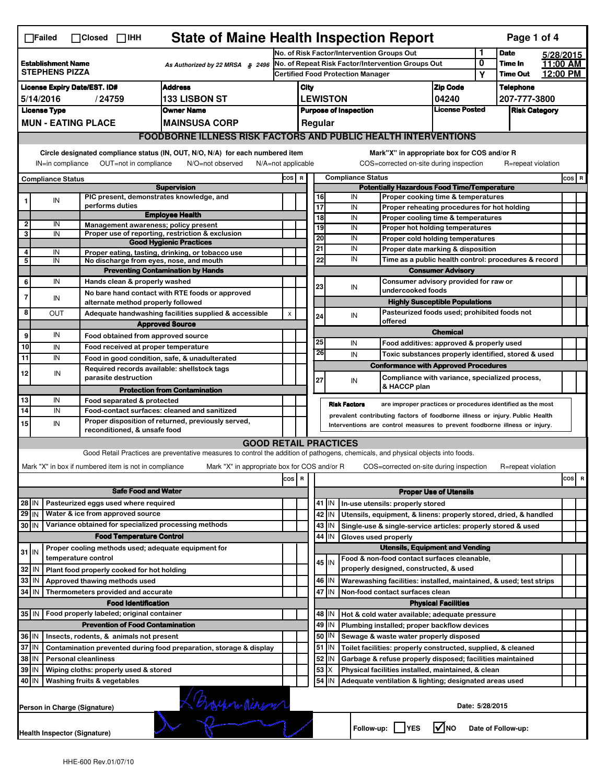|                                                                                                                                                                                                                                                                                       | <b>State of Maine Health Inspection Report</b><br>Page 1 of 4<br>$\Box$ Failed<br>$\Box$ Closed $\Box$ IHH |                              |                                                       |                                                                                                                                   |                                                   |                                            |                                                       |                          |                                                                              |                                                                                                    |                            |         |                      |           |         |   |
|---------------------------------------------------------------------------------------------------------------------------------------------------------------------------------------------------------------------------------------------------------------------------------------|------------------------------------------------------------------------------------------------------------|------------------------------|-------------------------------------------------------|-----------------------------------------------------------------------------------------------------------------------------------|---------------------------------------------------|--------------------------------------------|-------------------------------------------------------|--------------------------|------------------------------------------------------------------------------|----------------------------------------------------------------------------------------------------|----------------------------|---------|----------------------|-----------|---------|---|
|                                                                                                                                                                                                                                                                                       |                                                                                                            |                              |                                                       |                                                                                                                                   |                                                   | No. of Risk Factor/Intervention Groups Out |                                                       |                          |                                                                              |                                                                                                    |                            | 1       | <b>Date</b>          | 5/28/2015 |         |   |
| <b>Establishment Name</b><br>As Authorized by 22 MRSA § 2496<br><b>STEPHENS PIZZA</b>                                                                                                                                                                                                 |                                                                                                            |                              |                                                       |                                                                                                                                   | No. of Repeat Risk Factor/Intervention Groups Out |                                            |                                                       |                          |                                                                              |                                                                                                    | 0                          | Time In | 11:00 AM             |           |         |   |
|                                                                                                                                                                                                                                                                                       |                                                                                                            |                              |                                                       |                                                                                                                                   |                                                   |                                            | <b>Certified Food Protection Manager</b>              |                          |                                                                              |                                                                                                    |                            | Υ       | <b>Time Out</b>      | 12:00 PM  |         |   |
| <b>Address</b><br><b>License Expiry Date/EST. ID#</b>                                                                                                                                                                                                                                 |                                                                                                            |                              |                                                       |                                                                                                                                   |                                                   | City                                       |                                                       |                          |                                                                              |                                                                                                    | <b>Zip Code</b>            |         | <b>Telephone</b>     |           |         |   |
| <b>133 LISBON ST</b><br>5/14/2016<br>/24759                                                                                                                                                                                                                                           |                                                                                                            |                              |                                                       |                                                                                                                                   |                                                   | <b>LEWISTON</b><br>04240                   |                                                       |                          |                                                                              |                                                                                                    |                            |         | 207-777-3800         |           |         |   |
| <b>License Type</b><br><b>Owner Name</b>                                                                                                                                                                                                                                              |                                                                                                            |                              |                                                       |                                                                                                                                   |                                                   |                                            | <b>License Posted</b><br><b>Purpose of Inspection</b> |                          |                                                                              |                                                                                                    |                            |         | <b>Risk Category</b> |           |         |   |
|                                                                                                                                                                                                                                                                                       | <b>MUN - EATING PLACE</b><br><b>MAINSUSA CORP</b>                                                          |                              |                                                       |                                                                                                                                   |                                                   |                                            | Regular                                               |                          |                                                                              |                                                                                                    |                            |         |                      |           |         |   |
|                                                                                                                                                                                                                                                                                       |                                                                                                            |                              |                                                       | <b>FOODBORNE ILLNESS RISK FACTORS AND PUBLIC HEALTH INTERVENTIONS</b>                                                             |                                                   |                                            |                                                       |                          |                                                                              |                                                                                                    |                            |         |                      |           |         |   |
| Circle designated compliance status (IN, OUT, N/O, N/A) for each numbered item<br>Mark"X" in appropriate box for COS and/or R<br>OUT=not in compliance<br>COS=corrected on-site during inspection<br>IN=in compliance<br>N/O=not observed<br>N/A=not applicable<br>R=repeat violation |                                                                                                            |                              |                                                       |                                                                                                                                   |                                                   |                                            |                                                       |                          |                                                                              |                                                                                                    |                            |         |                      |           |         |   |
| <b>Compliance Status</b>                                                                                                                                                                                                                                                              |                                                                                                            |                              |                                                       |                                                                                                                                   |                                                   | COS R                                      | <b>Compliance Status</b>                              |                          |                                                                              |                                                                                                    |                            |         |                      |           | $cos$ R |   |
| <b>Supervision</b>                                                                                                                                                                                                                                                                    |                                                                                                            |                              |                                                       |                                                                                                                                   |                                                   |                                            | <b>Potentially Hazardous Food Time/Temperature</b>    |                          |                                                                              |                                                                                                    |                            |         |                      |           |         |   |
| 1                                                                                                                                                                                                                                                                                     | ${\sf IN}$                                                                                                 |                              |                                                       | PIC present, demonstrates knowledge, and                                                                                          |                                                   |                                            | 16                                                    |                          | IN                                                                           | Proper cooking time & temperatures                                                                 |                            |         |                      |           |         |   |
|                                                                                                                                                                                                                                                                                       |                                                                                                            |                              | performs duties                                       | <b>Employee Health</b>                                                                                                            |                                                   |                                            | 17<br>$\overline{18}$                                 |                          | IN                                                                           | Proper reheating procedures for hot holding<br>Proper cooling time & temperatures                  |                            |         |                      |           |         |   |
| 2                                                                                                                                                                                                                                                                                     | IN                                                                                                         |                              |                                                       | Management awareness; policy present                                                                                              |                                                   |                                            | 19                                                    |                          | IN<br>IN                                                                     |                                                                                                    |                            |         |                      |           |         |   |
| 3                                                                                                                                                                                                                                                                                     | IN                                                                                                         |                              |                                                       | Proper use of reporting, restriction & exclusion                                                                                  |                                                   |                                            | 20                                                    |                          | IN                                                                           | Proper hot holding temperatures<br>Proper cold holding temperatures                                |                            |         |                      |           |         |   |
|                                                                                                                                                                                                                                                                                       |                                                                                                            |                              |                                                       | <b>Good Hygienic Practices</b>                                                                                                    |                                                   |                                            | 21                                                    |                          | IN                                                                           | Proper date marking & disposition                                                                  |                            |         |                      |           |         |   |
| 4<br>5                                                                                                                                                                                                                                                                                | IN<br>IN                                                                                                   |                              |                                                       | Proper eating, tasting, drinking, or tobacco use<br>No discharge from eyes, nose, and mouth                                       |                                                   |                                            | 22                                                    |                          | IN                                                                           | Time as a public health control: procedures & record                                               |                            |         |                      |           |         |   |
|                                                                                                                                                                                                                                                                                       |                                                                                                            |                              |                                                       | <b>Preventing Contamination by Hands</b>                                                                                          |                                                   |                                            |                                                       | <b>Consumer Advisory</b> |                                                                              |                                                                                                    |                            |         |                      |           |         |   |
| 6                                                                                                                                                                                                                                                                                     | IN                                                                                                         |                              | Hands clean & properly washed                         |                                                                                                                                   |                                                   |                                            |                                                       |                          |                                                                              | Consumer advisory provided for raw or                                                              |                            |         |                      |           |         |   |
|                                                                                                                                                                                                                                                                                       |                                                                                                            |                              |                                                       | No bare hand contact with RTE foods or approved                                                                                   |                                                   |                                            | 23                                                    |                          | IN                                                                           | undercooked foods                                                                                  |                            |         |                      |           |         |   |
| $\overline{7}$                                                                                                                                                                                                                                                                        | IN                                                                                                         |                              | alternate method properly followed                    |                                                                                                                                   |                                                   |                                            |                                                       |                          |                                                                              | <b>Highly Susceptible Populations</b>                                                              |                            |         |                      |           |         |   |
| 8                                                                                                                                                                                                                                                                                     | OUT                                                                                                        |                              |                                                       | Adequate handwashing facilities supplied & accessible                                                                             | X                                                 |                                            | 24                                                    |                          | IN                                                                           | Pasteurized foods used; prohibited foods not                                                       |                            |         |                      |           |         |   |
|                                                                                                                                                                                                                                                                                       |                                                                                                            |                              | offered<br><b>Approved Source</b>                     |                                                                                                                                   |                                                   |                                            |                                                       |                          |                                                                              |                                                                                                    |                            |         |                      |           |         |   |
| 9                                                                                                                                                                                                                                                                                     | IN                                                                                                         |                              |                                                       | Food obtained from approved source                                                                                                |                                                   |                                            | 25                                                    |                          | IN                                                                           |                                                                                                    | <b>Chemical</b>            |         |                      |           |         |   |
| 10                                                                                                                                                                                                                                                                                    | IN                                                                                                         |                              |                                                       | Food received at proper temperature                                                                                               |                                                   |                                            | 26                                                    |                          |                                                                              | Food additives: approved & properly used                                                           |                            |         |                      |           |         |   |
| 11                                                                                                                                                                                                                                                                                    | IN                                                                                                         |                              |                                                       | Food in good condition, safe, & unadulterated                                                                                     |                                                   |                                            |                                                       |                          | IN                                                                           | Toxic substances properly identified, stored & used<br><b>Conformance with Approved Procedures</b> |                            |         |                      |           |         |   |
| 12                                                                                                                                                                                                                                                                                    | IN                                                                                                         |                              |                                                       | Required records available: shellstock tags                                                                                       |                                                   |                                            |                                                       |                          |                                                                              |                                                                                                    |                            |         |                      |           |         |   |
|                                                                                                                                                                                                                                                                                       |                                                                                                            |                              | parasite destruction                                  |                                                                                                                                   |                                                   |                                            | 27                                                    |                          | IN                                                                           | Compliance with variance, specialized process,<br>& HACCP plan                                     |                            |         |                      |           |         |   |
| 13                                                                                                                                                                                                                                                                                    | IN                                                                                                         |                              | Food separated & protected                            | <b>Protection from Contamination</b>                                                                                              |                                                   |                                            |                                                       |                          |                                                                              |                                                                                                    |                            |         |                      |           |         |   |
| $\overline{14}$                                                                                                                                                                                                                                                                       | IN                                                                                                         |                              |                                                       | Food-contact surfaces: cleaned and sanitized                                                                                      |                                                   |                                            |                                                       |                          | <b>Risk Factors</b>                                                          | are improper practices or procedures identified as the most                                        |                            |         |                      |           |         |   |
| 15                                                                                                                                                                                                                                                                                    | IN                                                                                                         |                              |                                                       | Proper disposition of returned, previously served,                                                                                |                                                   |                                            |                                                       |                          | prevalent contributing factors of foodborne illness or injury. Public Health |                                                                                                    |                            |         |                      |           |         |   |
|                                                                                                                                                                                                                                                                                       |                                                                                                            |                              | reconditioned, & unsafe food                          |                                                                                                                                   |                                                   |                                            |                                                       |                          | Interventions are control measures to prevent foodborne illness or injury.   |                                                                                                    |                            |         |                      |           |         |   |
|                                                                                                                                                                                                                                                                                       |                                                                                                            |                              |                                                       | <b>GOOD RETAIL PRACTICES</b>                                                                                                      |                                                   |                                            |                                                       |                          |                                                                              |                                                                                                    |                            |         |                      |           |         |   |
|                                                                                                                                                                                                                                                                                       |                                                                                                            |                              |                                                       | Good Retail Practices are preventative measures to control the addition of pathogens, chemicals, and physical objects into foods. |                                                   |                                            |                                                       |                          |                                                                              |                                                                                                    |                            |         |                      |           |         |   |
|                                                                                                                                                                                                                                                                                       |                                                                                                            |                              | Mark "X" in box if numbered item is not in compliance | Mark "X" in appropriate box for COS and/or R                                                                                      |                                                   |                                            |                                                       |                          |                                                                              | COS=corrected on-site during inspection                                                            |                            |         | R=repeat violation   |           |         |   |
|                                                                                                                                                                                                                                                                                       |                                                                                                            |                              |                                                       |                                                                                                                                   | cos                                               | $\overline{\mathbf{R}}$                    |                                                       |                          |                                                                              |                                                                                                    |                            |         |                      |           | cos     | R |
|                                                                                                                                                                                                                                                                                       |                                                                                                            |                              | <b>Safe Food and Water</b>                            |                                                                                                                                   |                                                   |                                            | <b>Proper Use of Utensils</b>                         |                          |                                                                              |                                                                                                    |                            |         |                      |           |         |   |
| $28$ IN                                                                                                                                                                                                                                                                               |                                                                                                            |                              | Pasteurized eggs used where required                  |                                                                                                                                   |                                                   |                                            |                                                       | 41   IN                  | In-use utensils: properly stored                                             |                                                                                                    |                            |         |                      |           |         |   |
| $29$ IN                                                                                                                                                                                                                                                                               |                                                                                                            |                              | Water & ice from approved source                      |                                                                                                                                   |                                                   |                                            | 42                                                    | IN                       | Utensils, equipment, & linens: properly stored, dried, & handled             |                                                                                                    |                            |         |                      |           |         |   |
| 30 IN                                                                                                                                                                                                                                                                                 |                                                                                                            |                              |                                                       | Variance obtained for specialized processing methods                                                                              |                                                   |                                            |                                                       | 43   IN                  | Single-use & single-service articles: properly stored & used                 |                                                                                                    |                            |         |                      |           |         |   |
|                                                                                                                                                                                                                                                                                       |                                                                                                            |                              | <b>Food Temperature Control</b>                       |                                                                                                                                   |                                                   |                                            | 44                                                    | IN                       | Gloves used properly                                                         |                                                                                                    |                            |         |                      |           |         |   |
| $31$ IN                                                                                                                                                                                                                                                                               |                                                                                                            |                              |                                                       | Proper cooling methods used; adequate equipment for                                                                               |                                                   |                                            |                                                       |                          |                                                                              | <b>Utensils, Equipment and Vending</b>                                                             |                            |         |                      |           |         |   |
|                                                                                                                                                                                                                                                                                       |                                                                                                            | temperature control          |                                                       |                                                                                                                                   |                                                   |                                            |                                                       | $45$ IN                  | Food & non-food contact surfaces cleanable,                                  |                                                                                                    |                            |         |                      |           |         |   |
| 32                                                                                                                                                                                                                                                                                    | IN                                                                                                         |                              | Plant food properly cooked for hot holding            |                                                                                                                                   |                                                   |                                            |                                                       |                          | properly designed, constructed, & used                                       |                                                                                                    |                            |         |                      |           |         |   |
| 33                                                                                                                                                                                                                                                                                    | IN                                                                                                         |                              | Approved thawing methods used                         |                                                                                                                                   |                                                   |                                            |                                                       | 46 IN                    | Warewashing facilities: installed, maintained, & used; test strips           |                                                                                                    |                            |         |                      |           |         |   |
| 34                                                                                                                                                                                                                                                                                    | <b>IN</b>                                                                                                  |                              | Thermometers provided and accurate                    |                                                                                                                                   |                                                   |                                            | 47<br>IN<br>Non-food contact surfaces clean           |                          |                                                                              |                                                                                                    |                            |         |                      |           |         |   |
|                                                                                                                                                                                                                                                                                       |                                                                                                            |                              | <b>Food Identification</b>                            |                                                                                                                                   |                                                   |                                            |                                                       |                          |                                                                              |                                                                                                    | <b>Physical Facilities</b> |         |                      |           |         |   |
|                                                                                                                                                                                                                                                                                       |                                                                                                            |                              | 35 IN   Food properly labeled; original container     |                                                                                                                                   |                                                   |                                            | 48                                                    | ΙN                       | Hot & cold water available; adequate pressure                                |                                                                                                    |                            |         |                      |           |         |   |
|                                                                                                                                                                                                                                                                                       |                                                                                                            |                              | <b>Prevention of Food Contamination</b>               |                                                                                                                                   |                                                   |                                            | 49                                                    | IN                       | Plumbing installed; proper backflow devices                                  |                                                                                                    |                            |         |                      |           |         |   |
| 36 IN                                                                                                                                                                                                                                                                                 |                                                                                                            |                              | Insects, rodents, & animals not present               |                                                                                                                                   |                                                   |                                            | 50                                                    | IN                       | Sewage & waste water properly disposed                                       |                                                                                                    |                            |         |                      |           |         |   |
| 37 IN<br>Contamination prevented during food preparation, storage & display                                                                                                                                                                                                           |                                                                                                            |                              |                                                       |                                                                                                                                   |                                                   |                                            | 51                                                    | IN                       | Toilet facilities: properly constructed, supplied, & cleaned                 |                                                                                                    |                            |         |                      |           |         |   |
| 38<br>IN<br><b>Personal cleanliness</b>                                                                                                                                                                                                                                               |                                                                                                            |                              |                                                       |                                                                                                                                   |                                                   |                                            | 52                                                    | IN                       | Garbage & refuse properly disposed; facilities maintained                    |                                                                                                    |                            |         |                      |           |         |   |
| 39<br>Wiping cloths: properly used & stored<br>IN<br>Washing fruits & vegetables                                                                                                                                                                                                      |                                                                                                            |                              |                                                       |                                                                                                                                   |                                                   |                                            | 53                                                    | х                        | Physical facilities installed, maintained, & clean                           |                                                                                                    |                            |         |                      |           |         |   |
| 40 IN                                                                                                                                                                                                                                                                                 |                                                                                                            |                              |                                                       |                                                                                                                                   |                                                   |                                            | 54                                                    | IN                       | Adequate ventilation & lighting; designated areas used                       |                                                                                                    |                            |         |                      |           |         |   |
|                                                                                                                                                                                                                                                                                       |                                                                                                            | Person in Charge (Signature) |                                                       | XBrochen Nieren                                                                                                                   |                                                   |                                            |                                                       |                          |                                                                              |                                                                                                    | Date: 5/28/2015            |         |                      |           |         |   |
|                                                                                                                                                                                                                                                                                       | <b>M</b> NO<br>Follow-up:     YES<br>Date of Follow-up:<br>Health Inspector (Signature)                    |                              |                                                       |                                                                                                                                   |                                                   |                                            |                                                       |                          |                                                                              |                                                                                                    |                            |         |                      |           |         |   |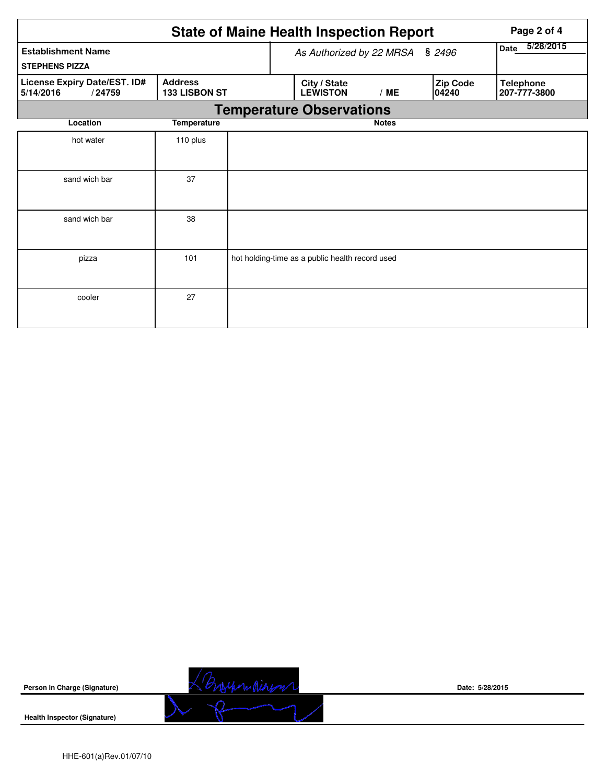|                                                     |                                    | <b>State of Maine Health Inspection Report</b>  | Page 2 of 4  |  |                   |                                  |
|-----------------------------------------------------|------------------------------------|-------------------------------------------------|--------------|--|-------------------|----------------------------------|
| <b>Establishment Name</b>                           | As Authorized by 22 MRSA<br>\$2496 |                                                 |              |  | 5/28/2015<br>Date |                                  |
| <b>STEPHENS PIZZA</b>                               |                                    |                                                 |              |  |                   |                                  |
| License Expiry Date/EST. ID#<br>5/14/2016<br>/24759 | <b>Address</b><br>133 LISBON ST    | City / State<br><b>LEWISTON</b>                 | /ME          |  | Zip Code<br>04240 | <b>Telephone</b><br>207-777-3800 |
|                                                     |                                    | <b>Temperature Observations</b>                 |              |  |                   |                                  |
| Location                                            | <b>Temperature</b>                 |                                                 | <b>Notes</b> |  |                   |                                  |
| hot water                                           | 110 plus                           |                                                 |              |  |                   |                                  |
| sand wich bar                                       | 37                                 |                                                 |              |  |                   |                                  |
| sand wich bar                                       | 38                                 |                                                 |              |  |                   |                                  |
| pizza                                               | 101                                | hot holding-time as a public health record used |              |  |                   |                                  |
| cooler                                              | 27                                 |                                                 |              |  |                   |                                  |

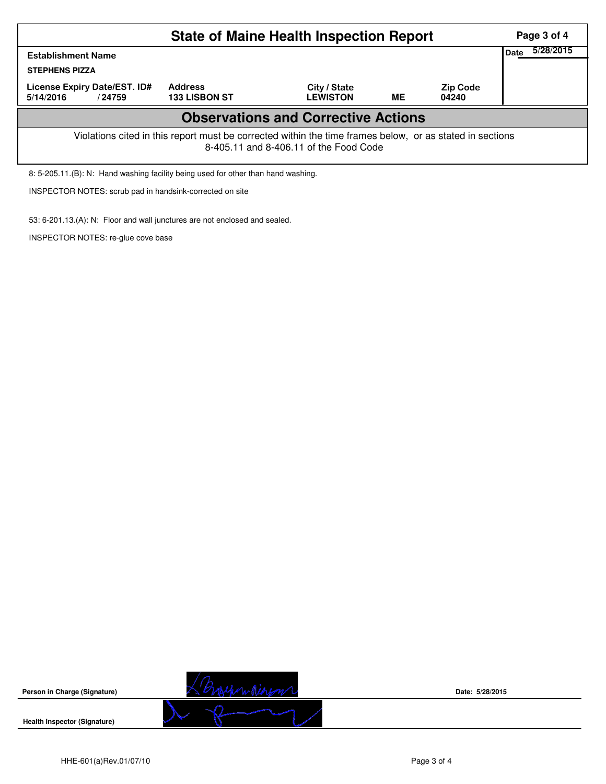| <b>State of Maine Health Inspection Report</b>                                                                                                     |                                        |                                 |    |                          |  |  |  |  |  |
|----------------------------------------------------------------------------------------------------------------------------------------------------|----------------------------------------|---------------------------------|----|--------------------------|--|--|--|--|--|
| <b>Establishment Name</b><br><b>STEPHENS PIZZA</b>                                                                                                 |                                        |                                 |    |                          |  |  |  |  |  |
| License Expiry Date/EST. ID#<br>5/14/2016<br>/24759                                                                                                | <b>Address</b><br><b>133 LISBON ST</b> | City / State<br><b>LEWISTON</b> | ME | <b>Zip Code</b><br>04240 |  |  |  |  |  |
| <b>Observations and Corrective Actions</b>                                                                                                         |                                        |                                 |    |                          |  |  |  |  |  |
| Violations cited in this report must be corrected within the time frames below, or as stated in sections<br>8-405.11 and 8-406.11 of the Food Code |                                        |                                 |    |                          |  |  |  |  |  |
| 8: 5-205.11.(B): N: Hand washing facility being used for other than hand washing.                                                                  |                                        |                                 |    |                          |  |  |  |  |  |

INSPECTOR NOTES: scrub pad in handsink-corrected on site

53: 6-201.13.(A): N: Floor and wall junctures are not enclosed and sealed.

INSPECTOR NOTES: re-glue cove base